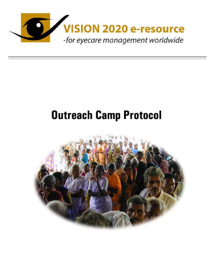

# **Outreach Camp Protocol**

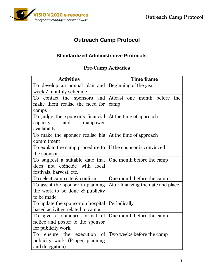

## **Outreach Camp Protocol**

#### **Standardized Administrative Protocols**

#### **Pre-Camp Activities**

| <b>Activities</b>                                                    | <b>Time frame</b>                   |
|----------------------------------------------------------------------|-------------------------------------|
| To develop an annual plan and                                        | Beginning of the year               |
| week / monthly schedule                                              |                                     |
| To contact the sponsors and                                          | Atleast one month before<br>the     |
| make them realise the need for                                       | camp                                |
| camps                                                                |                                     |
| To judge the sponsor's financial At the time of approach             |                                     |
| capacity<br>and<br>manpower                                          |                                     |
| availability.                                                        |                                     |
| To make the sponsor realise his   At the time of approach            |                                     |
| commitment                                                           |                                     |
| To explain the camp procedure to $\vert$ If the sponsor is convinced |                                     |
| the sponsor                                                          |                                     |
| To suggest a suitable date that                                      | One month before the camp           |
| does not coincide with local                                         |                                     |
| festivals, harvest, etc.                                             |                                     |
| To select camp site & confirm                                        | One month before the camp           |
| To assist the sponsor in planning                                    | After finalizing the date and place |
| the work to be done & publicity                                      |                                     |
| to be made                                                           |                                     |
| To update the sponsor on hospital                                    | Periodically                        |
| based activities related to camps                                    |                                     |
| To give a standard format of                                         | One month before the camp           |
| notice and poster to the sponsor                                     |                                     |
| for publicity work.                                                  |                                     |
| execution<br>of<br>To<br>the<br>ensure                               | Two weeks before the camp           |
| publicity work (Proper planning                                      |                                     |
| and delegation)                                                      |                                     |

 $\frac{1}{2}$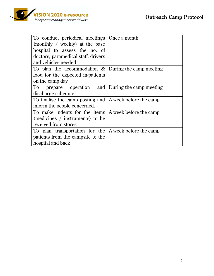

| To conduct periodical meetings   Once a month           |  |
|---------------------------------------------------------|--|
| (monthly / weekly) at the base                          |  |
| hospital to assess the no. of                           |  |
| doctors, paramedical staff, drivers                     |  |
| and vehicles needed                                     |  |
| To plan the accommodation $\&$ During the camp meeting  |  |
| food for the expected in-patients                       |  |
| on the camp day                                         |  |
| prepare operation and During the camp meeting<br>To     |  |
| discharge schedule                                      |  |
| To finalise the camp posting and A week before the camp |  |
| inform the people concerned.                            |  |
| To make indents for the items A week before the camp    |  |
| (medicines / instruments) to be                         |  |
| received from stores                                    |  |
| To plan transportation for the $A$ week before the camp |  |
| patients from the campsite to the                       |  |
| hospital and back                                       |  |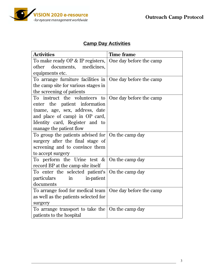

## **Camp Day Activities**

| <b>Activities</b>                                         | <b>Time frame</b>       |  |
|-----------------------------------------------------------|-------------------------|--|
| To make ready OP & IP registers,                          | One day before the camp |  |
| documents, medicines,<br>other                            |                         |  |
| equipments etc.                                           |                         |  |
| To arrange furniture facilities in                        | One day before the camp |  |
| the camp site for various stages in                       |                         |  |
| the screening of patients                                 |                         |  |
| To instruct the volunteers to                             | One day before the camp |  |
| enter the patient information                             |                         |  |
| (name, age, sex, address, date                            |                         |  |
| and place of camp) in OP card,                            |                         |  |
| Identity card, Register and to                            |                         |  |
| manage the patient flow                                   |                         |  |
| To group the patients advised for $\vert$ On the camp day |                         |  |
| surgery after the final stage of                          |                         |  |
| screening and to convince them                            |                         |  |
| to accept surgery                                         |                         |  |
| To perform the Urine test $\&$                            | On the camp day         |  |
| record BP at the camp site itself                         |                         |  |
| To enter the selected patient's                           | On the camp day         |  |
| <i>particulars</i><br>in<br>in-patient                    |                         |  |
| documents                                                 |                         |  |
| To arrange food for medical team                          | One day before the camp |  |
| as well as the patients selected for                      |                         |  |
| surgery                                                   |                         |  |
| To arrange transport to take the $\vert$ On the camp day  |                         |  |
| patients to the hospital                                  |                         |  |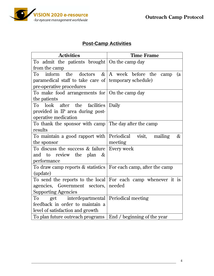

## **Post-Camp Activities**

| <b>Activities</b>                                                   | <b>Time Frame</b>                                             |
|---------------------------------------------------------------------|---------------------------------------------------------------|
| To admit the patients brought $\vert$ On the camp day               |                                                               |
| from the camp                                                       |                                                               |
| inform the doctors $\&$<br>To                                       | A week before the camp<br>(a)                                 |
| paramedical staff to take care of temporary schedule)               |                                                               |
| pre-operative procedures                                            |                                                               |
| To make food arrangements for $\vert$ On the camp day               |                                                               |
| the patients                                                        |                                                               |
| look after the<br>facilities<br>To                                  | Daily                                                         |
| provided in IP area during post-                                    |                                                               |
| operative medication                                                |                                                               |
| To thank the sponsor with camp The day after the camp               |                                                               |
| results                                                             |                                                               |
| To maintain a good rapport with Periodical visit,                   | $\&$<br>mailing                                               |
| the sponsor                                                         | meeting                                                       |
| To discuss the success & failure                                    | Every week                                                    |
| and to review the plan<br>$\&$                                      |                                                               |
| performance                                                         |                                                               |
| To draw camp reports $&$ statistics   For each camp, after the camp |                                                               |
| (update)                                                            |                                                               |
|                                                                     | To send the reports to the local For each camp whenever it is |
| agencies, Government sectors, needed                                |                                                               |
| <b>Supporting Agencies</b>                                          |                                                               |
| interdepartmental   Periodical meeting<br>To<br>get                 |                                                               |
| feedback in order to maintain a                                     |                                                               |
| level of satisfaction and growth                                    |                                                               |
| To plan future outreach programs                                    | End / beginning of the year                                   |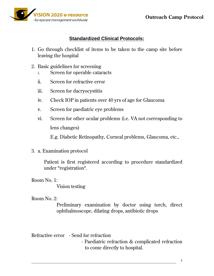

#### **Standardized Clinical Protocols:**

- 1. Go through checklist of items to be taken to the camp site before leaving the hospital
- 2. Basic guidelines for screening
	- i. Screen for operable cataracts
	- ii. Screen for refractive error
	- iii. Screen for dacryocystitis
	- iv. Check IOP in patients over 40 yrs of age for Glaucoma
	- v. Screen for paediatric eye problems
	- vi. Screen for other ocular problems (i.e. VA not corresponding to lens changes)

E.g. Diabetic Retinopathy, Corneal problems, Glaucoma, etc.,

3. a. Examination protocol

Patient is first registered according to procedure standardized under "registration".

#### Room No. 1:

Vision testing

#### Room No. 2:

Preliminary examination by doctor using torch, direct ophthalmoscope, dilating drops, antibiotic drops

Refractive error - Send for refraction - Paediatric refraction & complicated refraction to come directly to hospital.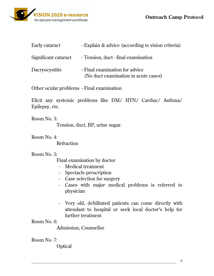## **ISION 2020 e-resource** -for eyecare management worldwide

**Outreach Camp Protocol** 

| Early cataract        | - Explain & advice (according to vision criteria)                      |
|-----------------------|------------------------------------------------------------------------|
| Significant cataract  | - Tension, duct - final examination                                    |
| <b>Dacryocystitis</b> | - Final examination for advice<br>(No duct examination in acute cases) |

Other ocular problems - Final examination

Elicit any systemic problems like DM/ HTN/ Cardiac/ Asthma/ Epilepsy, etc.

Room No. 3: Tension, duct, BP, urine sugar.

Room No. 4:

Refraction

Room No. 5:

Final examination by doctor

- Medical treatment
- Spectacle prescription
- Case selection for surgery
- Cases with major medical problems is referred to physician
- Very old, debilitated patients can come directly with attendant to hospital or seek local doctor's help for further treatment

Room No. 6:

Admission, Counsellor

Room No. 7:

**Optical**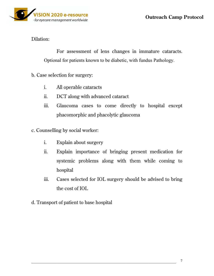#### Dilation:

 For assessment of lens changes in immature cataracts. Optional for patients known to be diabetic, with fundus Pathology.

- b. Case selection for surgery:
	- i. All operable cataracts
	- ii. DCT along with advanced cataract
	- iii. Glaucoma cases to come directly to hospital except phacomorphic and phacolytic glaucoma
- c. Counselling by social worker:
	- i. Explain about surgery
	- ii. Explain importance of bringing present medication for systemic problems along with them while coming to hospital
	- iii. Cases selected for IOL surgery should be advised to bring the cost of IOL
- d. Transport of patient to base hospital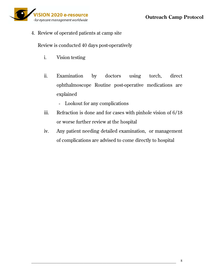

4. Review of operated patients at camp site

Review is conducted 40 days post-operatively

- i. Vision testing
- ii. Examination by doctors using torch, direct ophthalmoscope Routine post-operative medications are explained
	- Lookout for any complications
- iii. Refraction is done and for cases with pinhole vision of 6/18 or worse further review at the hospital
- iv. Any patient needing detailed examination, or management of complications are advised to come directly to hospital